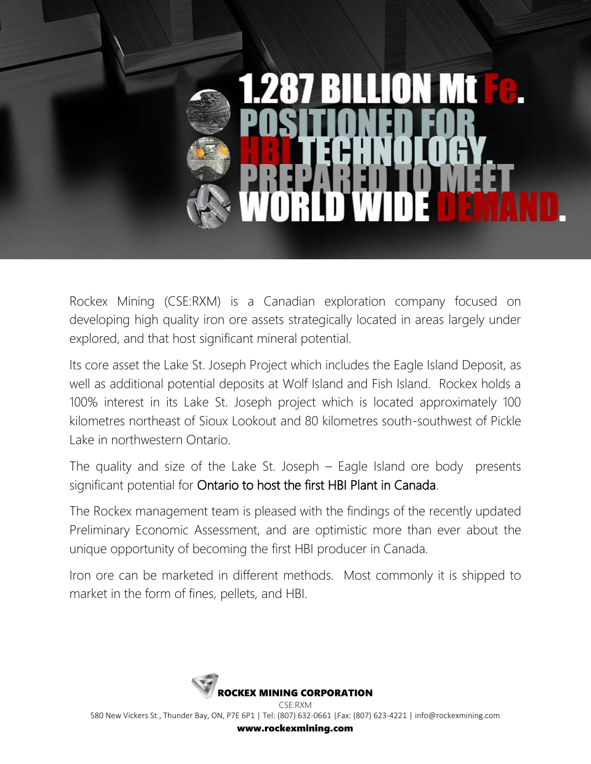

Rockex Mining (CSE:RXM) is a Canadian exploration company focused on developing high quality iron ore assets strategically located in areas largely under explored, and that host significant mineral potential.

Its core asset the Lake St. Joseph Project which includes the Eagle Island Deposit, as well as additional potential deposits at Wolf Island and Fish Island. Rockex holds a 100% interest in its Lake St. Joseph project which is located approximately 100 kilometres northeast of Sioux Lookout and 80 kilometres south-southwest of Pickle Lake in northwestern Ontario.

The quality and size of the Lake St. Joseph – Eagle Island ore body presents significant potential for Ontario to host the first HBI Plant in Canada.

The Rockex management team is pleased with the findings of the recently updated Preliminary Economic Assessment, and are optimistic more than ever about the unique opportunity of becoming the first HBI producer in Canada.

Iron ore can be marketed in different methods. Most commonly it is shipped to market in the form of fines, pellets, and HBI.

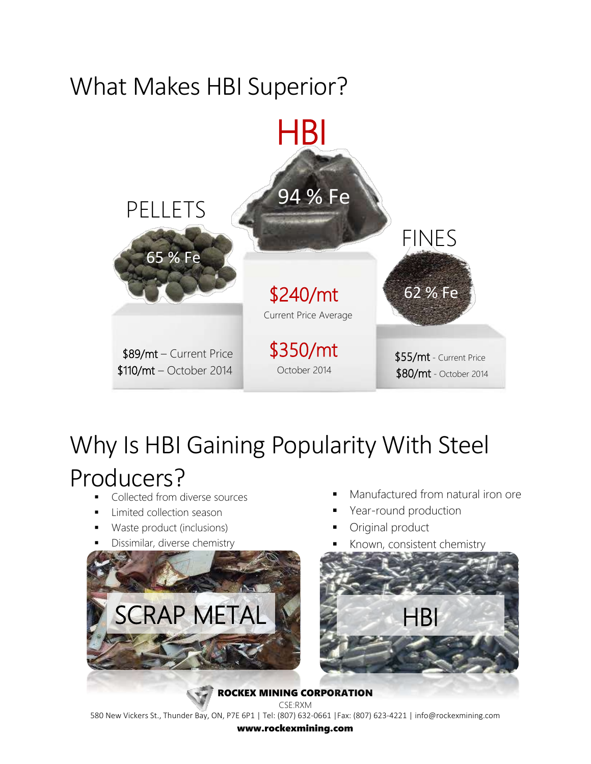### What Makes HBI Superior?



## Why Is HBI Gaining Popularity With Steel Producers?

- Collected from diverse sources
- Limited collection season
- Waste product (inclusions)
- Dissimilar, diverse chemistry



- Manufactured from natural iron ore
- Year-round production
- Original product
- Known, consistent chemistry



CSE:RXM 580 New Vickers St., Thunder Bay, ON, P7E 6P1 | Tel: (807) 632-0661 |Fax: (807) 623-4221 | info@rockexmining.com www.rockexmining.com

ROCKEX MINING CORPORATION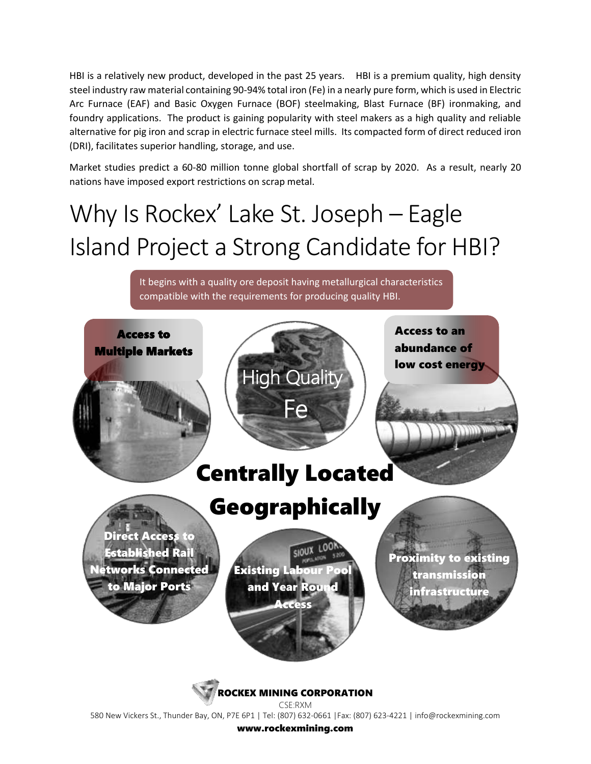HBI is a relatively new product, developed in the past 25 years. HBI is a premium quality, high density steel industry raw material containing 90-94% total iron (Fe) in a nearly pure form, which is used in Electric Arc Furnace (EAF) and Basic Oxygen Furnace (BOF) steelmaking, Blast Furnace (BF) ironmaking, and foundry applications. The product is gaining popularity with steel makers as a high quality and reliable alternative for pig iron and scrap in electric furnace steel mills. Its compacted form of direct reduced iron (DRI), facilitates superior handling, storage, and use.

Market studies predict a 60‐80 million tonne global shortfall of scrap by 2020. As a result, nearly 20 nations have imposed export restrictions on scrap metal.

# Why Is Rockex' Lake St. Joseph – Eagle Island Project a Strong Candidate for HBI?

It begins with a quality ore deposit having metallurgical characteristics compatible with the requirements for producing quality HBI.



580 New Vickers St., Thunder Bay, ON, P7E 6P1 | Tel: (807) 632-0661 |Fax: (807) 623-4221 | info@rockexmining.com

www.rockexmining.com